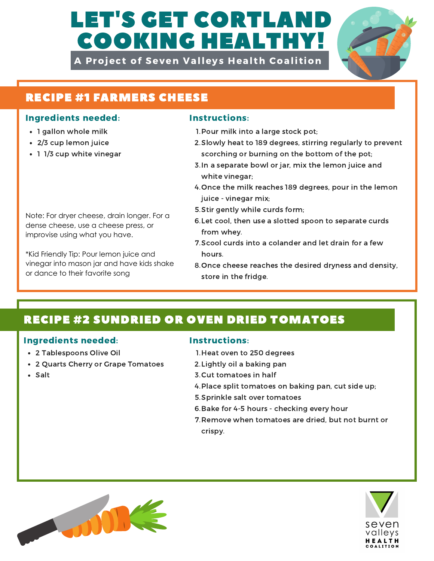# LET'S GET CORTLAN COOKING HEALTHY!

A Project of Seven Valleys Health Coalition



# RECIPE #1 FARMERS CHEESE

### Ingredients needed: Instructions:

- 1 gallon whole milk
- 2/3 cup lemon juice
- 1 1/3 cup white vinegar

Note: For dryer cheese, drain longer. For a dense cheese, use a cheese press, or improvise using what you have.

\*Kid Friendly Tip: Pour lemon juice and vinegar into mason jar and have kids shake

- 1. Pour milk into a large stock pot;
- 2. Slowly heat to 189 degrees, stirring regularly to prevent scorching or burning on the bottom of the pot;
- 3. In a separate bowl or jar, mix the lemon juice and white vinegar;
- 4. Once the milk reaches 189 degrees, pour in the lemon juice - vinegar mix;
- 5. Stir gently while curds form;
- 6. Let cool, then use a slotted spoon to separate curds from whey.
- 7. Scool curds into a colander and let drain for a few hours.
- or dance to their favorite song store in the fridge. 8. Once cheese reaches the desired dryness and density, store in the fridge.

## RECIPE #2 SUNDRIED OR OVEN DRIED TOMATOES

### Ingredients needed: Instructions:

- 2 Tablespoons Olive Oil
- 2 Quarts Cherry or Grape Tomatoes
- Salt

- 1. Heat oven to 250 degrees
- 2. Lightly oil a baking pan
- 3. Cut tomatoes in half
- 4. Place split tomatoes on baking pan, cut side up;
- 5. Sprinkle salt over tomatoes
- 6. Bake for 4-5 hours checking every hour
- 7. Remove when tomatoes are dried, but not burnt or crispy.



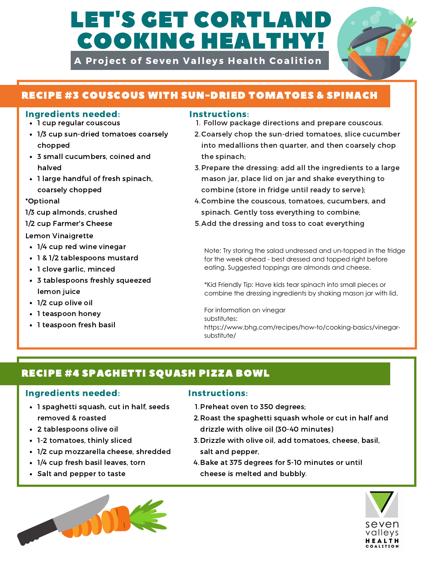# LET'S GET CORTLAI COOKING HEALTHY!

A Project of Seven Valleys Health Coalition



## RECIPE #3 COUSCOUS WITH SUN-DRIED TOMATOES & SPINACH

### Ingredients needed: Instructions:

- 1 cup regular couscous
- 1/3 cup sun-dried tomatoes coarsely chopped
- 3 small cucumbers, coined and halved
- 1 large handful of fresh spinach, coarsely chopped

\*Optional

1/3 cup almonds, crushed

1/2 cup Farmer's Cheese

Lemon Vinaigrette

- 1/4 cup red wine vinegar
- 1 & 1/2 tablespoons mustard
- 1 clove garlic, minced
- 3 tablespoons freshly squeezed lemon juice
- 1/2 cup olive oil
- 1 teaspoon honey
- 1 teaspoon fresh basil

- 1. Follow package directions and prepare couscous.
- 2. Coarsely chop the sun-dried tomatoes, slice cucumber into medallions then quarter, and then coarsely chop the spinach;
- 3. Prepare the dressing: add all the ingredients to a large mason jar, place lid on jar and shake everything to combine (store in fridge until ready to serve);
- 4. Combine the couscous, tomatoes, cucumbers, and spinach. Gently toss everything to combine;
- 5. Add the dressing and toss to coat everything

Note: Try storing the salad undressed and un-topped in the fridge for the week ahead - best dressed and topped right before eating. Suggested toppings are almonds and cheese.

\*Kid Friendly Tip: Have kids tear spinach into small pieces or combine the dressing ingredients by shaking mason jar with lid.

For information on vinegar substitutes: https://www.bhg.com/recipes/how-to/cooking-basics/vinegarsubstitute/

## RECIPE #4 SPAGHETTI SQUASH PIZZA BOWL

### Ingredients needed: Instructions:

- 1 spaghetti squash, cut in half, seeds removed & roasted
- 2 tablespoons olive oil
- 1-2 tomatoes, thinly sliced
- 1/2 cup mozzarella cheese, shredded
- 1/4 cup fresh basil leaves, torn
- Salt and pepper to taste



- 1. Preheat oven to 350 degrees;
- 2. Roast the spaghetti squash whole or cut in half and drizzle with olive oil (30-40 minutes)
- 3. Drizzle with olive oil, add tomatoes, cheese, basil, salt and pepper,
- 4. Bake at 375 degrees for 5-10 minutes or until cheese is melted and bubbly.